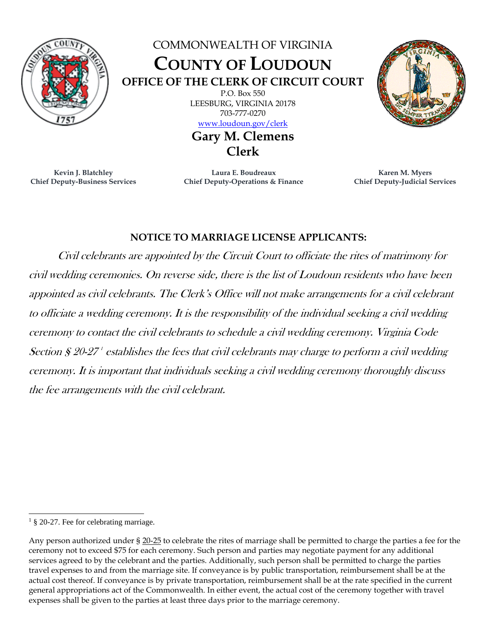

## COMMONWEALTH OF VIRGINIA **COUNTY OF LOUDOUN OFFICE OF THE CLERK OF CIRCUIT COURT** P.O. Box 550 LEESBURG, VIRGINIA 20178 703-777-0270

[www.loudoun.gov/clerk](http://www.loudoun.gov/clerk)

**Gary M. Clemens Clerk**



**Laura E. Boudreaux Chief Deputy-Operations & Finance**



## **NOTICE TO MARRIAGE LICENSE APPLICANTS:**

Civil celebrants are appointed by the Circuit Court to officiate the rites of matrimony for civil wedding ceremonies. On reverse side, there is the list of Loudoun residents who have been appointed as civil celebrants. The Clerk's Office will not make arrangements for a civil celebrant to officiate a wedding ceremony. It is the responsibility of the individual seeking a civil wedding ceremony to contact the civil celebrants to schedule a civil wedding ceremony. Virginia Code Section § 20-27 1 establishes the fees that civil celebrants may charge to perform a civil wedding ceremony. It is important that individuals seeking a civil wedding ceremony thoroughly discuss the fee arrangements with the civil celebrant.

<sup>&</sup>lt;sup>1</sup> § 20-27. Fee for celebrating marriage.

Any person authorized under § [20-25](https://law.lis.virginia.gov/vacode/20-25/) to celebrate the rites of marriage shall be permitted to charge the parties a fee for the ceremony not to exceed \$75 for each ceremony. Such person and parties may negotiate payment for any additional services agreed to by the celebrant and the parties. Additionally, such person shall be permitted to charge the parties travel expenses to and from the marriage site. If conveyance is by public transportation, reimbursement shall be at the actual cost thereof. If conveyance is by private transportation, reimbursement shall be at the rate specified in the current general appropriations act of the Commonwealth. In either event, the actual cost of the ceremony together with travel expenses shall be given to the parties at least three days prior to the marriage ceremony.